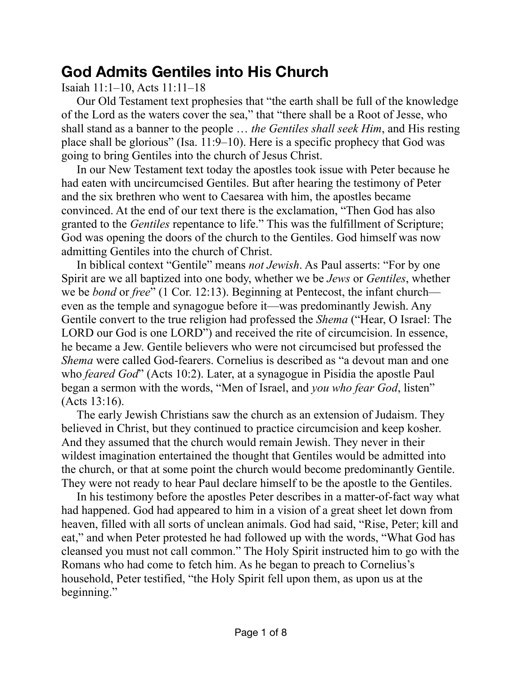## **God Admits Gentiles into His Church**

Isaiah 11:1–10, Acts 11:11–18

Our Old Testament text prophesies that "the earth shall be full of the knowledge of the Lord as the waters cover the sea," that "there shall be a Root of Jesse, who shall stand as a banner to the people … *the Gentiles shall seek Him*, and His resting place shall be glorious" (Isa. 11:9–10). Here is a specific prophecy that God was going to bring Gentiles into the church of Jesus Christ.

In our New Testament text today the apostles took issue with Peter because he had eaten with uncircumcised Gentiles. But after hearing the testimony of Peter and the six brethren who went to Caesarea with him, the apostles became convinced. At the end of our text there is the exclamation, "Then God has also granted to the *Gentiles* repentance to life." This was the fulfillment of Scripture; God was opening the doors of the church to the Gentiles. God himself was now admitting Gentiles into the church of Christ.

In biblical context "Gentile" means *not Jewish*. As Paul asserts: "For by one Spirit are we all baptized into one body, whether we be *Jews* or *Gentiles*, whether we be *bond* or *free*" (1 Cor. 12:13). Beginning at Pentecost, the infant church even as the temple and synagogue before it—was predominantly Jewish. Any Gentile convert to the true religion had professed the *Shema* ("Hear, O Israel: The LORD our God is one LORD") and received the rite of circumcision. In essence, he became a Jew. Gentile believers who were not circumcised but professed the *Shema* were called God-fearers. Cornelius is described as "a devout man and one who *feared God*" (Acts 10:2). Later, at a synagogue in Pisidia the apostle Paul began a sermon with the words, "Men of Israel, and *you who fear God*, listen" (Acts 13:16).

The early Jewish Christians saw the church as an extension of Judaism. They believed in Christ, but they continued to practice circumcision and keep kosher. And they assumed that the church would remain Jewish. They never in their wildest imagination entertained the thought that Gentiles would be admitted into the church, or that at some point the church would become predominantly Gentile. They were not ready to hear Paul declare himself to be the apostle to the Gentiles.

In his testimony before the apostles Peter describes in a matter-of-fact way what had happened. God had appeared to him in a vision of a great sheet let down from heaven, filled with all sorts of unclean animals. God had said, "Rise, Peter; kill and eat," and when Peter protested he had followed up with the words, "What God has cleansed you must not call common." The Holy Spirit instructed him to go with the Romans who had come to fetch him. As he began to preach to Cornelius's household, Peter testified, "the Holy Spirit fell upon them, as upon us at the beginning."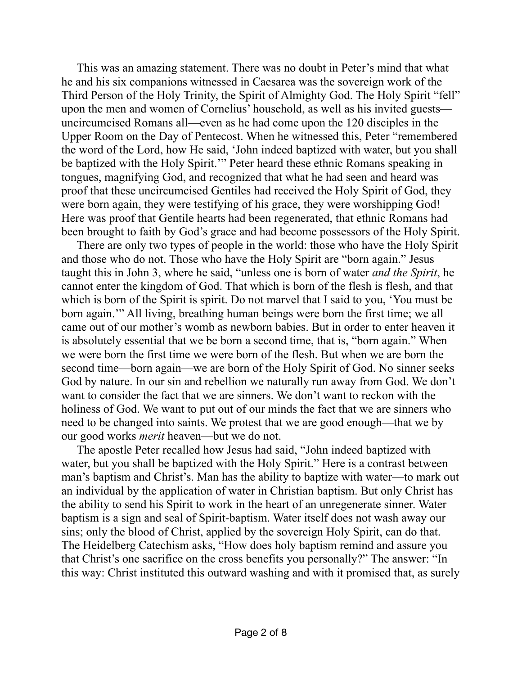This was an amazing statement. There was no doubt in Peter's mind that what he and his six companions witnessed in Caesarea was the sovereign work of the Third Person of the Holy Trinity, the Spirit of Almighty God. The Holy Spirit "fell" upon the men and women of Cornelius' household, as well as his invited guests uncircumcised Romans all—even as he had come upon the 120 disciples in the Upper Room on the Day of Pentecost. When he witnessed this, Peter "remembered the word of the Lord, how He said, 'John indeed baptized with water, but you shall be baptized with the Holy Spirit.'" Peter heard these ethnic Romans speaking in tongues, magnifying God, and recognized that what he had seen and heard was proof that these uncircumcised Gentiles had received the Holy Spirit of God, they were born again, they were testifying of his grace, they were worshipping God! Here was proof that Gentile hearts had been regenerated, that ethnic Romans had been brought to faith by God's grace and had become possessors of the Holy Spirit.

There are only two types of people in the world: those who have the Holy Spirit and those who do not. Those who have the Holy Spirit are "born again." Jesus taught this in John 3, where he said, "unless one is born of water *and the Spirit*, he cannot enter the kingdom of God. That which is born of the flesh is flesh, and that which is born of the Spirit is spirit. Do not marvel that I said to you, 'You must be born again.'" All living, breathing human beings were born the first time; we all came out of our mother's womb as newborn babies. But in order to enter heaven it is absolutely essential that we be born a second time, that is, "born again." When we were born the first time we were born of the flesh. But when we are born the second time—born again—we are born of the Holy Spirit of God. No sinner seeks God by nature. In our sin and rebellion we naturally run away from God. We don't want to consider the fact that we are sinners. We don't want to reckon with the holiness of God. We want to put out of our minds the fact that we are sinners who need to be changed into saints. We protest that we are good enough—that we by our good works *merit* heaven—but we do not.

The apostle Peter recalled how Jesus had said, "John indeed baptized with water, but you shall be baptized with the Holy Spirit." Here is a contrast between man's baptism and Christ's. Man has the ability to baptize with water—to mark out an individual by the application of water in Christian baptism. But only Christ has the ability to send his Spirit to work in the heart of an unregenerate sinner. Water baptism is a sign and seal of Spirit-baptism. Water itself does not wash away our sins; only the blood of Christ, applied by the sovereign Holy Spirit, can do that. The Heidelberg Catechism asks, "How does holy baptism remind and assure you that Christ's one sacrifice on the cross benefits you personally?" The answer: "In this way: Christ instituted this outward washing and with it promised that, as surely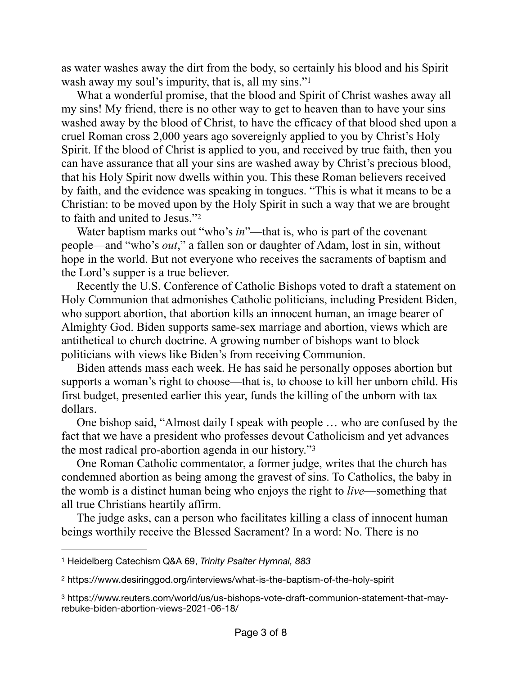<span id="page-2-3"></span>as water washes away the dirt from the body, so certainly his blood and his Spirit wash away my soul's impurity, that is, all my sins."<sup>1</sup>

What a wonderful promise, that the blood and Spirit of Christ washes away all my sins! My friend, there is no other way to get to heaven than to have your sins washed away by the blood of Christ, to have the efficacy of that blood shed upon a cruel Roman cross 2,000 years ago sovereignly applied to you by Christ's Holy Spirit. If the blood of Christ is applied to you, and received by true faith, then you can have assurance that all your sins are washed away by Christ's precious blood, that his Holy Spirit now dwells within you. This these Roman believers received by faith, and the evidence was speaking in tongues. "This is what it means to be a Christian: to be moved upon by the Holy Spirit in such a way that we are brought to faith and united to Jesus.["2](#page-2-1)

<span id="page-2-4"></span>Water baptism marks out "who's *in*"—that is, who is part of the covenant people—and "who's *out*," a fallen son or daughter of Adam, lost in sin, without hope in the world. But not everyone who receives the sacraments of baptism and the Lord's supper is a true believer.

Recently the U.S. Conference of Catholic Bishops voted to draft a statement on Holy Communion that admonishes Catholic politicians, including President Biden, who support abortion, that abortion kills an innocent human, an image bearer of Almighty God. Biden supports same-sex marriage and abortion, views which are antithetical to church doctrine. A growing number of bishops want to block politicians with views like Biden's from receiving Communion.

Biden attends mass each week. He has said he personally opposes abortion but supports a woman's right to choose—that is, to choose to kill her unborn child. His first budget, presented earlier this year, funds the killing of the unborn with tax dollars.

One bishop said, "Almost daily I speak with people … who are confused by the fact that we have a president who professes devout Catholicism and yet advances the most radical pro-abortion agenda in our history."[3](#page-2-2)

<span id="page-2-5"></span>One Roman Catholic commentator, a former judge, writes that the church has condemned abortion as being among the gravest of sins. To Catholics, the baby in the womb is a distinct human being who enjoys the right to *live*—something that all true Christians heartily affirm.

The judge asks, can a person who facilitates killing a class of innocent human beings worthily receive the Blessed Sacrament? In a word: No. There is no

<span id="page-2-0"></span>[<sup>1</sup>](#page-2-3) Heidelberg Catechism Q&A 69, *Trinity Psalter Hymnal, 883*

<span id="page-2-1"></span>https://www.desiringgod.org/interviews/what-is-the-baptism-of-the-holy-spirit [2](#page-2-4)

<span id="page-2-2"></span>https://www.reuters.com/world/us/us-bishops-vote-draft-communion-statement-that-may- [3](#page-2-5) rebuke-biden-abortion-views-2021-06-18/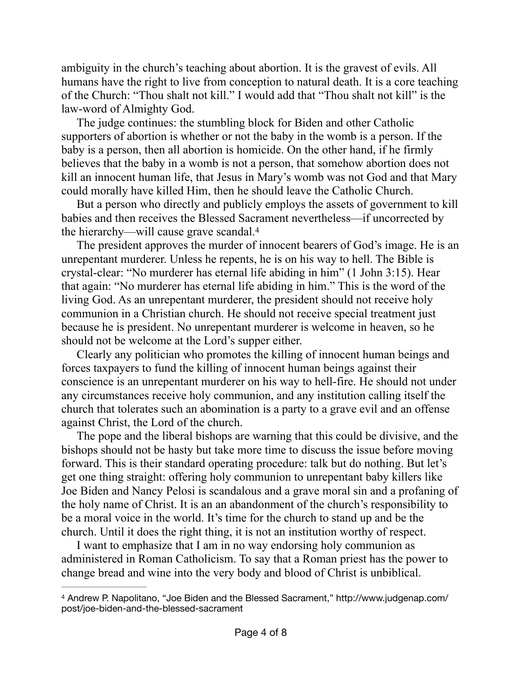ambiguity in the church's teaching about abortion. It is the gravest of evils. All humans have the right to live from conception to natural death. It is a core teaching of the Church: "Thou shalt not kill." I would add that "Thou shalt not kill" is the law-word of Almighty God.

The judge continues: the stumbling block for Biden and other Catholic supporters of abortion is whether or not the baby in the womb is a person. If the baby is a person, then all abortion is homicide. On the other hand, if he firmly believes that the baby in a womb is not a person, that somehow abortion does not kill an innocent human life, that Jesus in Mary's womb was not God and that Mary could morally have killed Him, then he should leave the Catholic Church.

But a person who directly and publicly employs the assets of government to kill babies and then receives the Blessed Sacrament nevertheless—if uncorrected by the hierarchy—will cause grave scandal[.4](#page-3-0)

<span id="page-3-1"></span>The president approves the murder of innocent bearers of God's image. He is an unrepentant murderer. Unless he repents, he is on his way to hell. The Bible is crystal-clear: "No murderer has eternal life abiding in him" (1 John 3:15). Hear that again: "No murderer has eternal life abiding in him." This is the word of the living God. As an unrepentant murderer, the president should not receive holy communion in a Christian church. He should not receive special treatment just because he is president. No unrepentant murderer is welcome in heaven, so he should not be welcome at the Lord's supper either.

Clearly any politician who promotes the killing of innocent human beings and forces taxpayers to fund the killing of innocent human beings against their conscience is an unrepentant murderer on his way to hell-fire. He should not under any circumstances receive holy communion, and any institution calling itself the church that tolerates such an abomination is a party to a grave evil and an offense against Christ, the Lord of the church.

The pope and the liberal bishops are warning that this could be divisive, and the bishops should not be hasty but take more time to discuss the issue before moving forward. This is their standard operating procedure: talk but do nothing. But let's get one thing straight: offering holy communion to unrepentant baby killers like Joe Biden and Nancy Pelosi is scandalous and a grave moral sin and a profaning of the holy name of Christ. It is an an abandonment of the church's responsibility to be a moral voice in the world. It's time for the church to stand up and be the church. Until it does the right thing, it is not an institution worthy of respect.

I want to emphasize that I am in no way endorsing holy communion as administered in Roman Catholicism. To say that a Roman priest has the power to change bread and wine into the very body and blood of Christ is unbiblical.

<span id="page-3-0"></span><sup>&</sup>lt;sup>[4](#page-3-1)</sup> Andrew P. Napolitano, "Joe Biden and the Blessed Sacrament," http://www.judgenap.com/ post/joe-biden-and-the-blessed-sacrament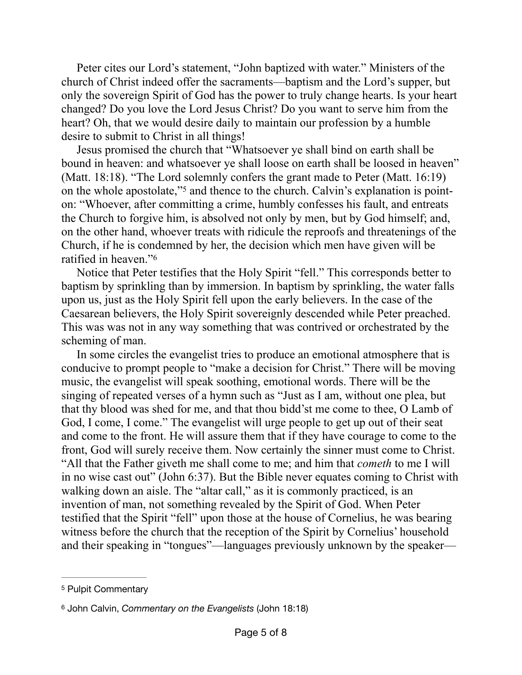Peter cites our Lord's statement, "John baptized with water." Ministers of the church of Christ indeed offer the sacraments—baptism and the Lord's supper, but only the sovereign Spirit of God has the power to truly change hearts. Is your heart changed? Do you love the Lord Jesus Christ? Do you want to serve him from the heart? Oh, that we would desire daily to maintain our profession by a humble desire to submit to Christ in all things!

<span id="page-4-2"></span>Jesus promised the church that "Whatsoever ye shall bind on earth shall be bound in heaven: and whatsoever ye shall loose on earth shall be loosed in heaven" (Matt. 18:18). "The Lord solemnly confers the grant made to Peter (Matt. 16:19) on the whole apostolate,"<sup>5</sup> and thence to the church. Calvin's explanation is pointon: "Whoever, after committing a crime, humbly confesses his fault, and entreats the Church to forgive him, is absolved not only by men, but by God himself; and, on the other hand, whoever treats with ridicule the reproofs and threatenings of the Church, if he is condemned by her, the decision which men have given will be ratified in heaven."[6](#page-4-1)

<span id="page-4-3"></span>Notice that Peter testifies that the Holy Spirit "fell." This corresponds better to baptism by sprinkling than by immersion. In baptism by sprinkling, the water falls upon us, just as the Holy Spirit fell upon the early believers. In the case of the Caesarean believers, the Holy Spirit sovereignly descended while Peter preached. This was was not in any way something that was contrived or orchestrated by the scheming of man.

In some circles the evangelist tries to produce an emotional atmosphere that is conducive to prompt people to "make a decision for Christ." There will be moving music, the evangelist will speak soothing, emotional words. There will be the singing of repeated verses of a hymn such as "Just as I am, without one plea, but that thy blood was shed for me, and that thou bidd'st me come to thee, O Lamb of God, I come, I come." The evangelist will urge people to get up out of their seat and come to the front. He will assure them that if they have courage to come to the front, God will surely receive them. Now certainly the sinner must come to Christ. "All that the Father giveth me shall come to me; and him that *cometh* to me I will in no wise cast out" (John 6:37). But the Bible never equates coming to Christ with walking down an aisle. The "altar call," as it is commonly practiced, is an invention of man, not something revealed by the Spirit of God. When Peter testified that the Spirit "fell" upon those at the house of Cornelius, he was bearing witness before the church that the reception of the Spirit by Cornelius' household and their speaking in "tongues"—languages previously unknown by the speaker—

<span id="page-4-0"></span>[<sup>5</sup>](#page-4-2) Pulpit Commentary

<span id="page-4-1"></span>John Calvin, *Commentary on the Evangelists* (John 18:18) [6](#page-4-3)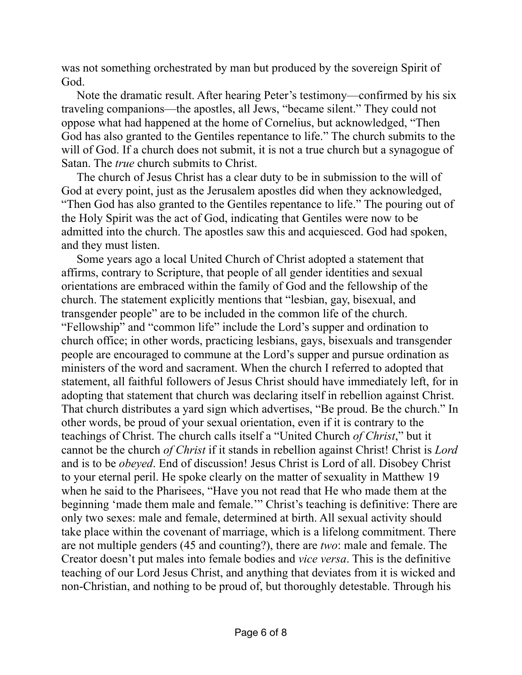was not something orchestrated by man but produced by the sovereign Spirit of God.

Note the dramatic result. After hearing Peter's testimony—confirmed by his six traveling companions—the apostles, all Jews, "became silent." They could not oppose what had happened at the home of Cornelius, but acknowledged, "Then God has also granted to the Gentiles repentance to life." The church submits to the will of God. If a church does not submit, it is not a true church but a synagogue of Satan. The *true* church submits to Christ.

The church of Jesus Christ has a clear duty to be in submission to the will of God at every point, just as the Jerusalem apostles did when they acknowledged, "Then God has also granted to the Gentiles repentance to life." The pouring out of the Holy Spirit was the act of God, indicating that Gentiles were now to be admitted into the church. The apostles saw this and acquiesced. God had spoken, and they must listen.

Some years ago a local United Church of Christ adopted a statement that affirms, contrary to Scripture, that people of all gender identities and sexual orientations are embraced within the family of God and the fellowship of the church. The statement explicitly mentions that "lesbian, gay, bisexual, and transgender people" are to be included in the common life of the church. "Fellowship" and "common life" include the Lord's supper and ordination to church office; in other words, practicing lesbians, gays, bisexuals and transgender people are encouraged to commune at the Lord's supper and pursue ordination as ministers of the word and sacrament. When the church I referred to adopted that statement, all faithful followers of Jesus Christ should have immediately left, for in adopting that statement that church was declaring itself in rebellion against Christ. That church distributes a yard sign which advertises, "Be proud. Be the church." In other words, be proud of your sexual orientation, even if it is contrary to the teachings of Christ. The church calls itself a "United Church *of Christ*," but it cannot be the church *of Christ* if it stands in rebellion against Christ! Christ is *Lord* and is to be *obeyed*. End of discussion! Jesus Christ is Lord of all. Disobey Christ to your eternal peril. He spoke clearly on the matter of sexuality in Matthew 19 when he said to the Pharisees, "Have you not read that He who made them at the beginning 'made them male and female.'" Christ's teaching is definitive: There are only two sexes: male and female, determined at birth. All sexual activity should take place within the covenant of marriage, which is a lifelong commitment. There are not multiple genders (45 and counting?), there are *two*: male and female. The Creator doesn't put males into female bodies and *vice versa*. This is the definitive teaching of our Lord Jesus Christ, and anything that deviates from it is wicked and non-Christian, and nothing to be proud of, but thoroughly detestable. Through his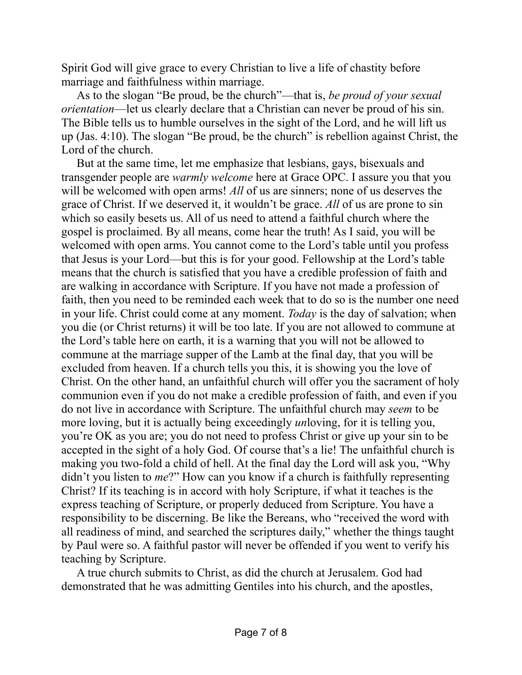Spirit God will give grace to every Christian to live a life of chastity before marriage and faithfulness within marriage.

As to the slogan "Be proud, be the church"—that is, *be proud of your sexual orientation*—let us clearly declare that a Christian can never be proud of his sin. The Bible tells us to humble ourselves in the sight of the Lord, and he will lift us up (Jas. 4:10). The slogan "Be proud, be the church" is rebellion against Christ, the Lord of the church.

But at the same time, let me emphasize that lesbians, gays, bisexuals and transgender people are *warmly welcome* here at Grace OPC. I assure you that you will be welcomed with open arms! All of us are sinners; none of us deserves the grace of Christ. If we deserved it, it wouldn't be grace. *All* of us are prone to sin which so easily besets us. All of us need to attend a faithful church where the gospel is proclaimed. By all means, come hear the truth! As I said, you will be welcomed with open arms. You cannot come to the Lord's table until you profess that Jesus is your Lord—but this is for your good. Fellowship at the Lord's table means that the church is satisfied that you have a credible profession of faith and are walking in accordance with Scripture. If you have not made a profession of faith, then you need to be reminded each week that to do so is the number one need in your life. Christ could come at any moment. *Today* is the day of salvation; when you die (or Christ returns) it will be too late. If you are not allowed to commune at the Lord's table here on earth, it is a warning that you will not be allowed to commune at the marriage supper of the Lamb at the final day, that you will be excluded from heaven. If a church tells you this, it is showing you the love of Christ. On the other hand, an unfaithful church will offer you the sacrament of holy communion even if you do not make a credible profession of faith, and even if you do not live in accordance with Scripture. The unfaithful church may *seem* to be more loving, but it is actually being exceedingly *un*loving, for it is telling you, you're OK as you are; you do not need to profess Christ or give up your sin to be accepted in the sight of a holy God. Of course that's a lie! The unfaithful church is making you two-fold a child of hell. At the final day the Lord will ask you, "Why didn't you listen to *me*?" How can you know if a church is faithfully representing Christ? If its teaching is in accord with holy Scripture, if what it teaches is the express teaching of Scripture, or properly deduced from Scripture. You have a responsibility to be discerning. Be like the Bereans, who "received the word with all readiness of mind, and searched the scriptures daily," whether the things taught by Paul were so. A faithful pastor will never be offended if you went to verify his teaching by Scripture.

A true church submits to Christ, as did the church at Jerusalem. God had demonstrated that he was admitting Gentiles into his church, and the apostles,